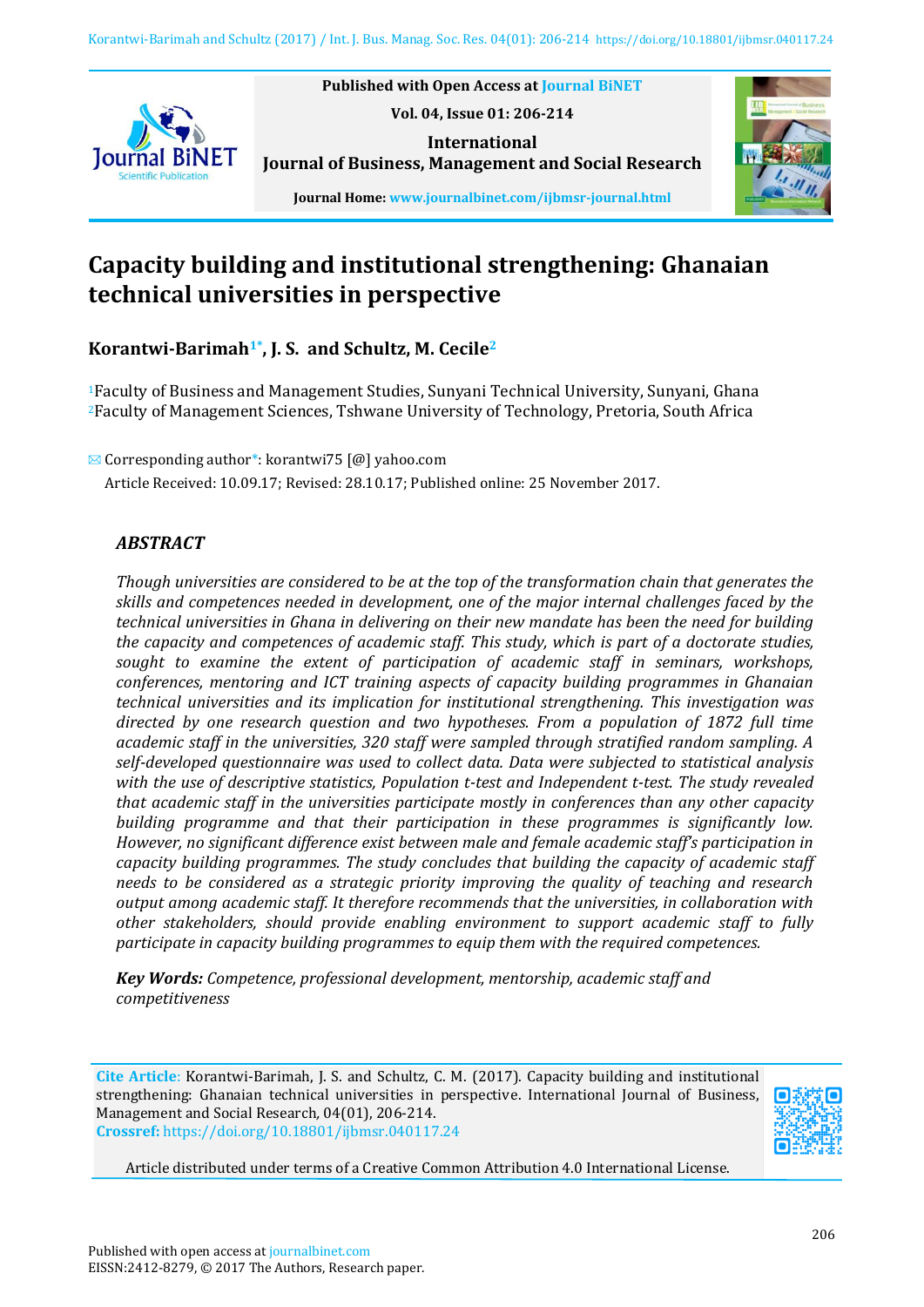

**Vol. 04, Issue 01: 206-214 International Journal of Business, Management and Social Research**

**Published with Open Access at Journal BiNET**



**Journal Home: www.journalbinet.com/ijbmsr-journal.html**

# **Capacity building and institutional strengthening: Ghanaian technical universities in perspective**

**Korantwi-Barimah1\* , J. S. and Schultz, M. Cecile<sup>2</sup>**

<sup>1</sup>Faculty of Business and Management Studies, Sunyani Technical University, Sunyani, Ghana <sup>2</sup>Faculty of Management Sciences, Tshwane University of Technology, Pretoria, South Africa

 $\boxtimes$  Corresponding author\*: korantwi75 [@] yahoo.com

Article Received: 10.09.17; Revised: 28.10.17; Published online: 25 November 2017.

# *ABSTRACT*

*Though universities are considered to be at the top of the transformation chain that generates the skills and competences needed in development, one of the major internal challenges faced by the technical universities in Ghana in delivering on their new mandate has been the need for building the capacity and competences of academic staff. This study, which is part of a doctorate studies, sought to examine the extent of participation of academic staff in seminars, workshops, conferences, mentoring and ICT training aspects of capacity building programmes in Ghanaian technical universities and its implication for institutional strengthening. This investigation was directed by one research question and two hypotheses. From a population of 1872 full time academic staff in the universities, 320 staff were sampled through stratified random sampling. A self-developed questionnaire was used to collect data. Data were subjected to statistical analysis with the use of descriptive statistics, Population t-test and Independent t-test. The study revealed that academic staff in the universities participate mostly in conferences than any other capacity building programme and that their participation in these programmes is significantly low. However, no significant difference exist between male and female academic staff's participation in capacity building programmes. The study concludes that building the capacity of academic staff needs to be considered as a strategic priority improving the quality of teaching and research output among academic staff. It therefore recommends that the universities, in collaboration with other stakeholders, should provide enabling environment to support academic staff to fully participate in capacity building programmes to equip them with the required competences.* 

*Key Words: Competence, professional development, mentorship, academic staff and competitiveness*

**Cite Article**: Korantwi-Barimah, J. S. and Schultz, C. M. (2017). Capacity building and institutional strengthening: Ghanaian technical universities in perspective. International Journal of Business, Management and Social Research*,* 04(01), 206-214. **Crossref:** https://doi.org/10.18801/ijbmsr.040117.24



Article distributed under terms of a Creative Common Attribution 4.0 International License.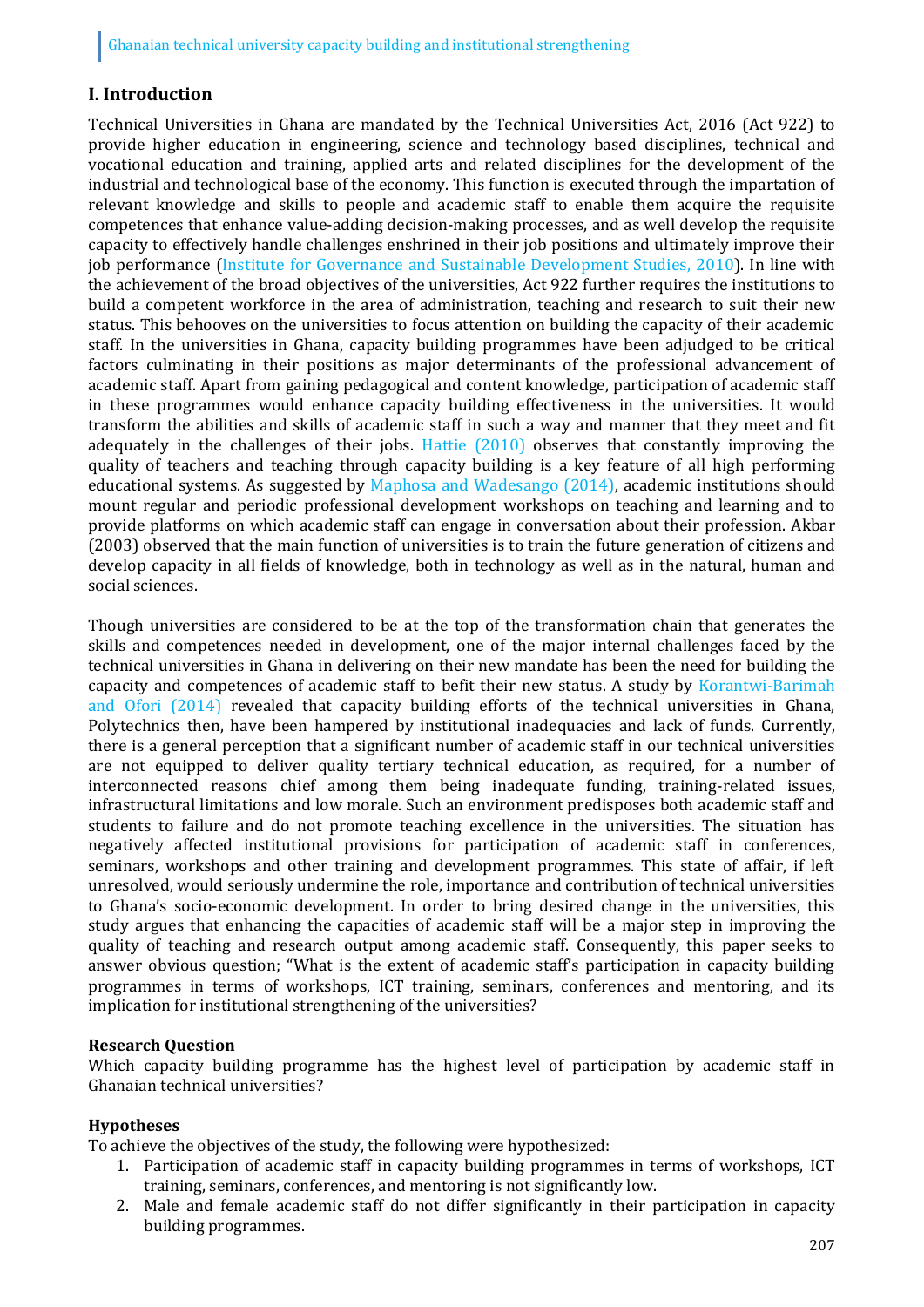## **I. Introduction**

Technical Universities in Ghana are mandated by the Technical Universities Act, 2016 (Act 922) to provide higher education in engineering, science and technology based disciplines, technical and vocational education and training, applied arts and related disciplines for the development of the industrial and technological base of the economy. This function is executed through the impartation of relevant knowledge and skills to people and academic staff to enable them acquire the requisite competences that enhance value-adding decision-making processes, and as well develop the requisite capacity to effectively handle challenges enshrined in their job positions and ultimately improve their job performance (Institute for Governance and Sustainable Development Studies, 2010). In line with the achievement of the broad objectives of the universities, Act 922 further requires the institutions to build a competent workforce in the area of administration, teaching and research to suit their new status. This behooves on the universities to focus attention on building the capacity of their academic staff. In the universities in Ghana, capacity building programmes have been adjudged to be critical factors culminating in their positions as major determinants of the professional advancement of academic staff. Apart from gaining pedagogical and content knowledge, participation of academic staff in these programmes would enhance capacity building effectiveness in the universities. It would transform the abilities and skills of academic staff in such a way and manner that they meet and fit adequately in the challenges of their jobs. Hattie (2010) observes that constantly improving the quality of teachers and teaching through capacity building is a key feature of all high performing educational systems. As suggested by Maphosa and Wadesango (2014), academic institutions should mount regular and periodic professional development workshops on teaching and learning and to provide platforms on which academic staff can engage in conversation about their profession. Akbar (2003) observed that the main function of universities is to train the future generation of citizens and develop capacity in all fields of knowledge, both in technology as well as in the natural, human and social sciences.

Though universities are considered to be at the top of the transformation chain that generates the skills and competences needed in development, one of the major internal challenges faced by the technical universities in Ghana in delivering on their new mandate has been the need for building the capacity and competences of academic staff to befit their new status. A study by Korantwi-Barimah and Ofori (2014) revealed that capacity building efforts of the technical universities in Ghana, Polytechnics then, have been hampered by institutional inadequacies and lack of funds. Currently, there is a general perception that a significant number of academic staff in our technical universities are not equipped to deliver quality tertiary technical education, as required, for a number of interconnected reasons chief among them being inadequate funding, training-related issues, infrastructural limitations and low morale. Such an environment predisposes both academic staff and students to failure and do not promote teaching excellence in the universities. The situation has negatively affected institutional provisions for participation of academic staff in conferences, seminars, workshops and other training and development programmes. This state of affair, if left unresolved, would seriously undermine the role, importance and contribution of technical universities to Ghana's socio-economic development. In order to bring desired change in the universities, this study argues that enhancing the capacities of academic staff will be a major step in improving the quality of teaching and research output among academic staff. Consequently, this paper seeks to answer obvious question; "What is the extent of academic staff's participation in capacity building programmes in terms of workshops, ICT training, seminars, conferences and mentoring, and its implication for institutional strengthening of the universities?

#### **Research Question**

Which capacity building programme has the highest level of participation by academic staff in Ghanaian technical universities?

#### **Hypotheses**

To achieve the objectives of the study, the following were hypothesized:

- 1. Participation of academic staff in capacity building programmes in terms of workshops, ICT training, seminars, conferences, and mentoring is not significantly low.
- 2. Male and female academic staff do not differ significantly in their participation in capacity building programmes.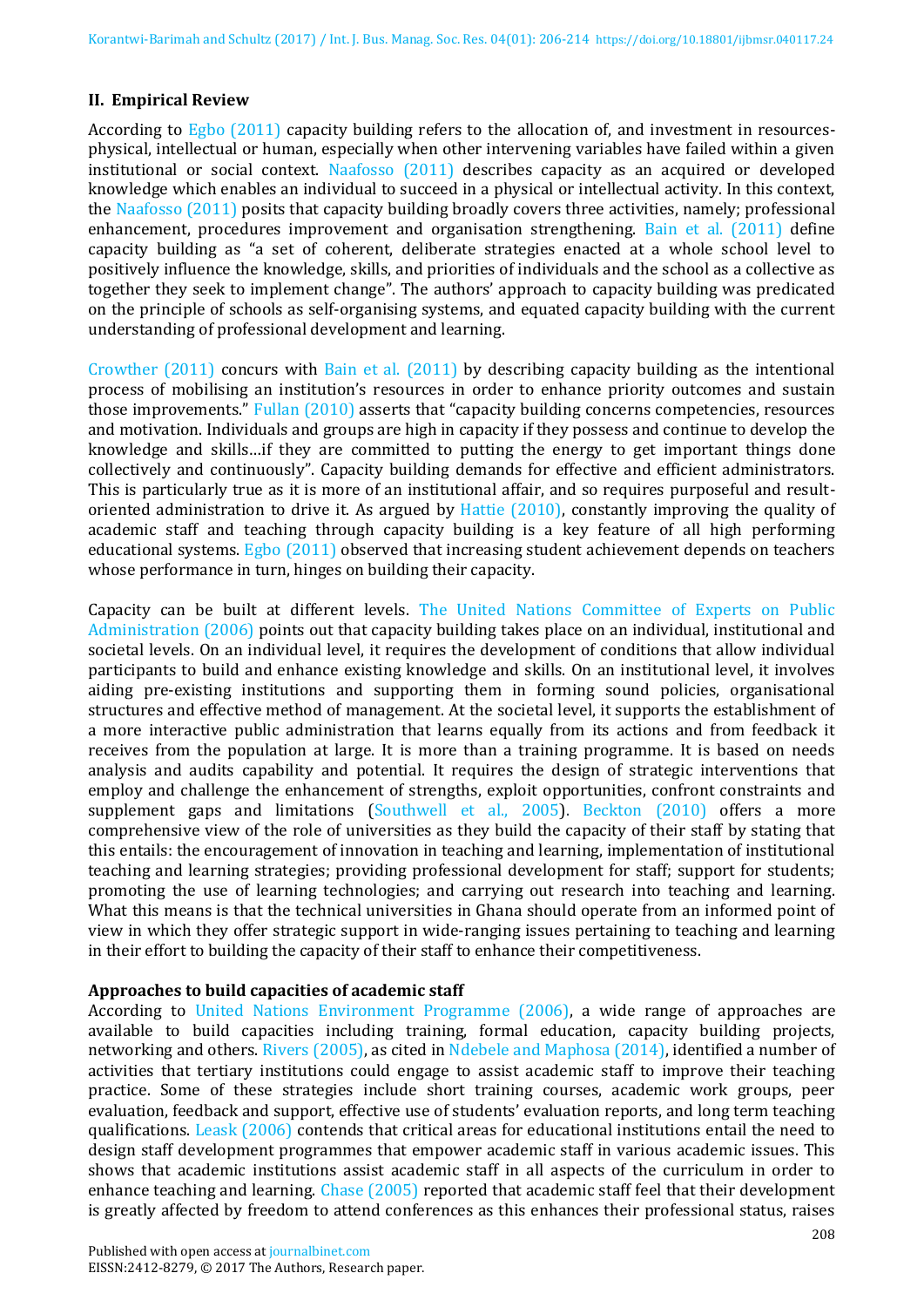#### **II. Empirical Review**

According to Egbo (2011) capacity building refers to the allocation of, and investment in resourcesphysical, intellectual or human, especially when other intervening variables have failed within a given institutional or social context. Naafosso (2011) describes capacity as an acquired or developed knowledge which enables an individual to succeed in a physical or intellectual activity. In this context, the Naafosso (2011) posits that capacity building broadly covers three activities, namely; professional enhancement, procedures improvement and organisation strengthening. Bain et al. (2011) define capacity building as "a set of coherent, deliberate strategies enacted at a whole school level to positively influence the knowledge, skills, and priorities of individuals and the school as a collective as together they seek to implement change". The authors' approach to capacity building was predicated on the principle of schools as self-organising systems, and equated capacity building with the current understanding of professional development and learning.

Crowther (2011) concurs with Bain et al. (2011) by describing capacity building as the intentional process of mobilising an institution's resources in order to enhance priority outcomes and sustain those improvements." Fullan (2010) asserts that "capacity building concerns competencies, resources and motivation. Individuals and groups are high in capacity if they possess and continue to develop the knowledge and skills…if they are committed to putting the energy to get important things done collectively and continuously". Capacity building demands for effective and efficient administrators. This is particularly true as it is more of an institutional affair, and so requires purposeful and resultoriented administration to drive it. As argued by Hattie (2010), constantly improving the quality of academic staff and teaching through capacity building is a key feature of all high performing educational systems. Egbo (2011) observed that increasing student achievement depends on teachers whose performance in turn, hinges on building their capacity.

Capacity can be built at different levels. The United Nations Committee of Experts on Public Administration (2006) points out that capacity building takes place on an individual, institutional and societal levels. On an individual level, it requires the development of conditions that allow individual participants to build and enhance existing knowledge and skills. On an institutional level, it involves aiding pre-existing institutions and supporting them in forming sound policies, organisational structures and effective method of management. At the societal level, it supports the establishment of a more interactive public administration that learns equally from its actions and from feedback it receives from the population at large. It is more than a training programme. It is based on needs analysis and audits capability and potential. It requires the design of strategic interventions that employ and challenge the enhancement of strengths, exploit opportunities, confront constraints and supplement gaps and limitations (Southwell et al., 2005). Beckton (2010) offers a more comprehensive view of the role of universities as they build the capacity of their staff by stating that this entails: the encouragement of innovation in teaching and learning, implementation of institutional teaching and learning strategies; providing professional development for staff; support for students; promoting the use of learning technologies; and carrying out research into teaching and learning. What this means is that the technical universities in Ghana should operate from an informed point of view in which they offer strategic support in wide-ranging issues pertaining to teaching and learning in their effort to building the capacity of their staff to enhance their competitiveness.

#### **Approaches to build capacities of academic staff**

According to United Nations Environment Programme (2006), a wide range of approaches are available to build capacities including training, formal education, capacity building projects, networking and others. Rivers (2005), as cited in Ndebele and Maphosa (2014), identified a number of activities that tertiary institutions could engage to assist academic staff to improve their teaching practice. Some of these strategies include short training courses, academic work groups, peer evaluation, feedback and support, effective use of students' evaluation reports, and long term teaching qualifications. Leask (2006) contends that critical areas for educational institutions entail the need to design staff development programmes that empower academic staff in various academic issues. This shows that academic institutions assist academic staff in all aspects of the curriculum in order to enhance teaching and learning. Chase (2005) reported that academic staff feel that their development is greatly affected by freedom to attend conferences as this enhances their professional status, raises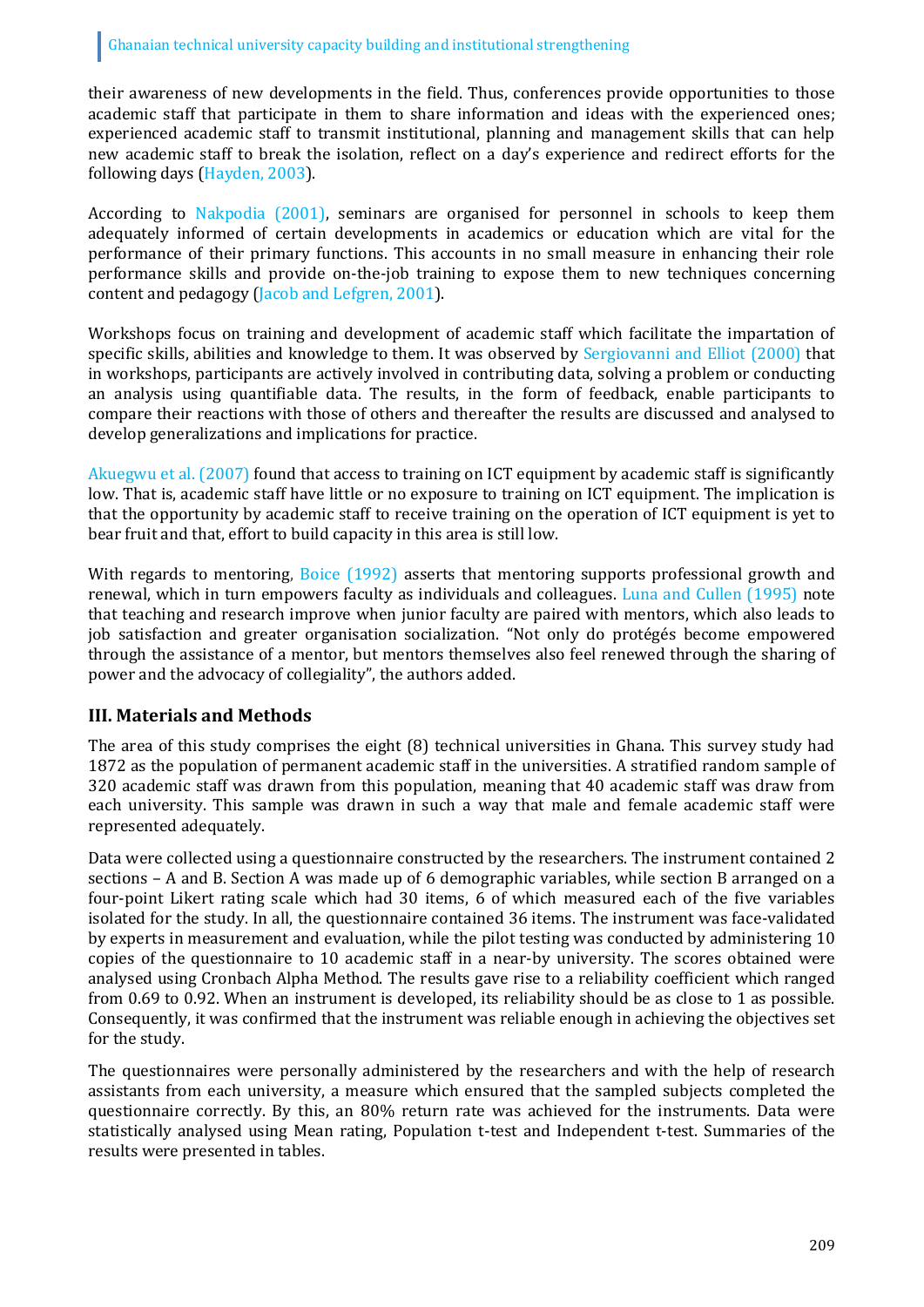their awareness of new developments in the field. Thus, conferences provide opportunities to those academic staff that participate in them to share information and ideas with the experienced ones; experienced academic staff to transmit institutional, planning and management skills that can help new academic staff to break the isolation, reflect on a day's experience and redirect efforts for the following days (Hayden, 2003).

According to Nakpodia (2001), seminars are organised for personnel in schools to keep them adequately informed of certain developments in academics or education which are vital for the performance of their primary functions. This accounts in no small measure in enhancing their role performance skills and provide on-the-job training to expose them to new techniques concerning content and pedagogy (Jacob and Lefgren, 2001).

Workshops focus on training and development of academic staff which facilitate the impartation of specific skills, abilities and knowledge to them. It was observed by Sergiovanni and Elliot (2000) that in workshops, participants are actively involved in contributing data, solving a problem or conducting an analysis using quantifiable data. The results, in the form of feedback, enable participants to compare their reactions with those of others and thereafter the results are discussed and analysed to develop generalizations and implications for practice.

Akuegwu et al. (2007) found that access to training on ICT equipment by academic staff is significantly low. That is, academic staff have little or no exposure to training on ICT equipment. The implication is that the opportunity by academic staff to receive training on the operation of ICT equipment is yet to bear fruit and that, effort to build capacity in this area is still low.

With regards to mentoring, Boice (1992) asserts that mentoring supports professional growth and renewal, which in turn empowers faculty as individuals and colleagues. Luna and Cullen (1995) note that teaching and research improve when junior faculty are paired with mentors, which also leads to job satisfaction and greater organisation socialization. "Not only do protégés become empowered through the assistance of a mentor, but mentors themselves also feel renewed through the sharing of power and the advocacy of collegiality", the authors added.

# **III. Materials and Methods**

The area of this study comprises the eight (8) technical universities in Ghana. This survey study had 1872 as the population of permanent academic staff in the universities. A stratified random sample of 320 academic staff was drawn from this population, meaning that 40 academic staff was draw from each university. This sample was drawn in such a way that male and female academic staff were represented adequately.

Data were collected using a questionnaire constructed by the researchers. The instrument contained 2 sections – A and B. Section A was made up of 6 demographic variables, while section B arranged on a four-point Likert rating scale which had 30 items, 6 of which measured each of the five variables isolated for the study. In all, the questionnaire contained 36 items. The instrument was face-validated by experts in measurement and evaluation, while the pilot testing was conducted by administering 10 copies of the questionnaire to 10 academic staff in a near-by university. The scores obtained were analysed using Cronbach Alpha Method. The results gave rise to a reliability coefficient which ranged from 0.69 to 0.92. When an instrument is developed, its reliability should be as close to 1 as possible. Consequently, it was confirmed that the instrument was reliable enough in achieving the objectives set for the study.

The questionnaires were personally administered by the researchers and with the help of research assistants from each university, a measure which ensured that the sampled subjects completed the questionnaire correctly. By this, an 80% return rate was achieved for the instruments. Data were statistically analysed using Mean rating, Population t-test and Independent t-test. Summaries of the results were presented in tables.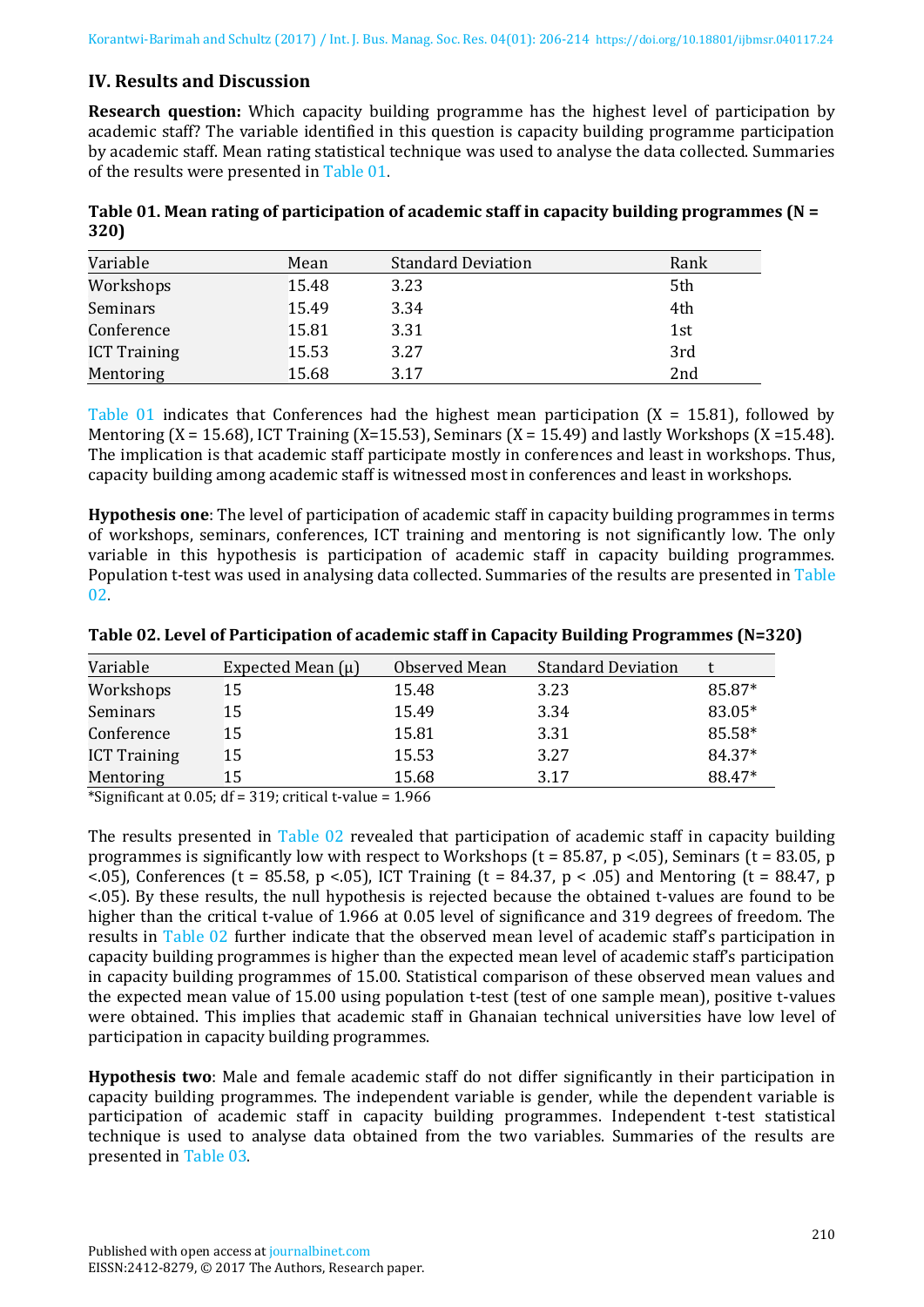## **IV. Results and Discussion**

**Research question:** Which capacity building programme has the highest level of participation by academic staff? The variable identified in this question is capacity building programme participation by academic staff. Mean rating statistical technique was used to analyse the data collected. Summaries of the results were presented in Table 01.

| Table 01. Mean rating of participation of academic staff in capacity building programmes ( $N =$ |  |
|--------------------------------------------------------------------------------------------------|--|
| 320)                                                                                             |  |

| Variable            | Mean  | <b>Standard Deviation</b> | Rank |
|---------------------|-------|---------------------------|------|
| Workshops           | 15.48 | 3.23                      | 5th  |
| Seminars            | 15.49 | 3.34                      | 4th  |
| Conference          | 15.81 | 3.31                      | 1st  |
| <b>ICT Training</b> | 15.53 | 3.27                      | 3rd  |
| Mentoring           | 15.68 | 3.17                      | 2nd  |

Table 01 indicates that Conferences had the highest mean participation  $(X = 15.81)$ , followed by Mentoring  $(X = 15.68)$ , ICT Training  $(X = 15.53)$ , Seminars  $(X = 15.49)$  and lastly Workshops  $(X = 15.48)$ . The implication is that academic staff participate mostly in conferences and least in workshops. Thus, capacity building among academic staff is witnessed most in conferences and least in workshops.

**Hypothesis one**: The level of participation of academic staff in capacity building programmes in terms of workshops, seminars, conferences, ICT training and mentoring is not significantly low. The only variable in this hypothesis is participation of academic staff in capacity building programmes. Population t-test was used in analysing data collected. Summaries of the results are presented in Table 02.

| Variable                                                                     | Expected Mean $(\mu)$              | Observed Mean                           | <b>Standard Deviation</b> |        |
|------------------------------------------------------------------------------|------------------------------------|-----------------------------------------|---------------------------|--------|
| Workshops                                                                    | 15                                 | 15.48                                   | 3.23                      | 85.87* |
| Seminars                                                                     | 15                                 | 15.49                                   | 3.34                      | 83.05* |
| Conference                                                                   | 15                                 | 15.81                                   | 3.31                      | 85.58* |
| <b>ICT Training</b>                                                          | 15                                 | 15.53                                   | 3.27                      | 84.37* |
| Mentoring                                                                    | 15                                 | 15.68                                   | 3.17                      | 88.47* |
| $+$ $-$<br>$\sim$ $\sim$<br>$\sim$ $\sim$ $\sim$ $\sim$ $\sim$ $\sim$ $\sim$ | $\sim$ $\sim$<br>$\cdots$ $\cdots$ | $\lambda$ $\lambda$ $\lambda$ $\lambda$ |                           |        |

**Table 02. Level of Participation of academic staff in Capacity Building Programmes (N=320)** 

\*Significant at 0.05; df = 319; critical t-value = 1.966

The results presented in Table 02 revealed that participation of academic staff in capacity building programmes is significantly low with respect to Workshops ( $t = 85.87$ ,  $p < 0.05$ ), Seminars ( $t = 83.05$ ,  $p$ <.05), Conferences (t = 85.58, p <.05), ICT Training (t = 84.37, p < .05) and Mentoring (t = 88.47, p <.05). By these results, the null hypothesis is rejected because the obtained t-values are found to be higher than the critical t-value of 1.966 at 0.05 level of significance and 319 degrees of freedom. The results in Table 02 further indicate that the observed mean level of academic staff's participation in capacity building programmes is higher than the expected mean level of academic staff's participation in capacity building programmes of 15.00. Statistical comparison of these observed mean values and the expected mean value of 15.00 using population t-test (test of one sample mean), positive t-values were obtained. This implies that academic staff in Ghanaian technical universities have low level of participation in capacity building programmes.

**Hypothesis two**: Male and female academic staff do not differ significantly in their participation in capacity building programmes. The independent variable is gender, while the dependent variable is participation of academic staff in capacity building programmes. Independent t-test statistical technique is used to analyse data obtained from the two variables. Summaries of the results are presented in Table 03.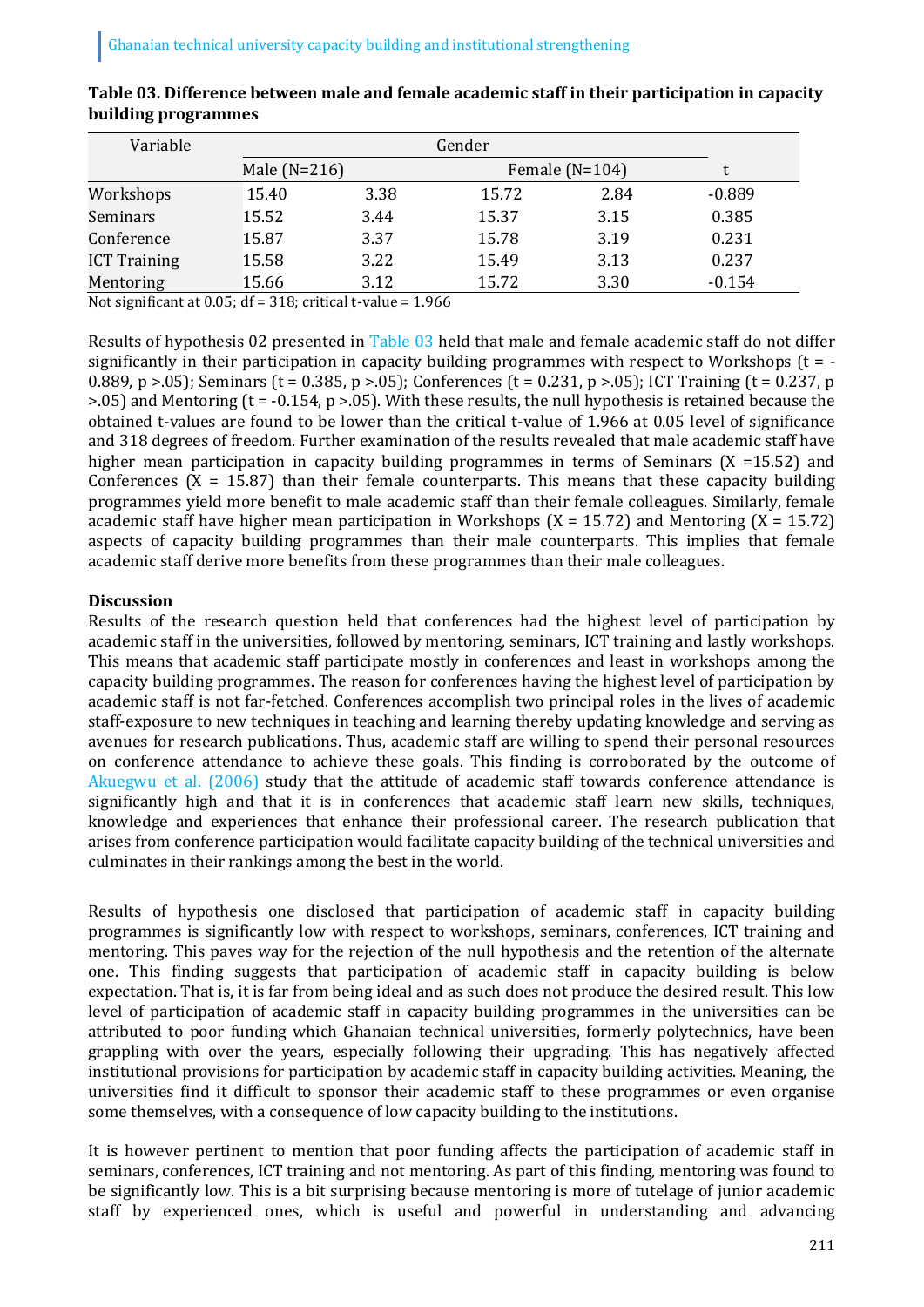| Variable            |       | Gender                             |       |      |          |  |
|---------------------|-------|------------------------------------|-------|------|----------|--|
|                     |       | Male $(N=216)$<br>Female $(N=104)$ |       |      |          |  |
| Workshops           | 15.40 | 3.38                               | 15.72 | 2.84 | $-0.889$ |  |
| Seminars            | 15.52 | 3.44                               | 15.37 | 3.15 | 0.385    |  |
| Conference          | 15.87 | 3.37                               | 15.78 | 3.19 | 0.231    |  |
| <b>ICT Training</b> | 15.58 | 3.22                               | 15.49 | 3.13 | 0.237    |  |
| Mentoring           | 15.66 | 3.12                               | 15.72 | 3.30 | $-0.154$ |  |

| Table 03. Difference between male and female academic staff in their participation in capacity |
|------------------------------------------------------------------------------------------------|
| building programmes                                                                            |

Not significant at 0.05; df = 318; critical t-value = 1.966

Results of hypothesis 02 presented in Table 03 held that male and female academic staff do not differ significantly in their participation in capacity building programmes with respect to Workshops  $(t = -1)$ 0.889, p >.05); Seminars (t = 0.385, p >.05); Conferences (t = 0.231, p >.05); ICT Training (t = 0.237, p  $>0.05$ ) and Mentoring (t = -0.154, p  $>0.05$ ). With these results, the null hypothesis is retained because the obtained t-values are found to be lower than the critical t-value of 1.966 at 0.05 level of significance and 318 degrees of freedom. Further examination of the results revealed that male academic staff have higher mean participation in capacity building programmes in terms of Seminars (X =15.52) and Conferences ( $X = 15.87$ ) than their female counterparts. This means that these capacity building programmes yield more benefit to male academic staff than their female colleagues. Similarly, female academic staff have higher mean participation in Workshops  $(X = 15.72)$  and Mentoring  $(X = 15.72)$ aspects of capacity building programmes than their male counterparts. This implies that female academic staff derive more benefits from these programmes than their male colleagues.

### **Discussion**

Results of the research question held that conferences had the highest level of participation by academic staff in the universities, followed by mentoring, seminars, ICT training and lastly workshops. This means that academic staff participate mostly in conferences and least in workshops among the capacity building programmes. The reason for conferences having the highest level of participation by academic staff is not far-fetched. Conferences accomplish two principal roles in the lives of academic staff-exposure to new techniques in teaching and learning thereby updating knowledge and serving as avenues for research publications. Thus, academic staff are willing to spend their personal resources on conference attendance to achieve these goals. This finding is corroborated by the outcome of Akuegwu et al. (2006) study that the attitude of academic staff towards conference attendance is significantly high and that it is in conferences that academic staff learn new skills, techniques, knowledge and experiences that enhance their professional career. The research publication that arises from conference participation would facilitate capacity building of the technical universities and culminates in their rankings among the best in the world.

Results of hypothesis one disclosed that participation of academic staff in capacity building programmes is significantly low with respect to workshops, seminars, conferences, ICT training and mentoring. This paves way for the rejection of the null hypothesis and the retention of the alternate one. This finding suggests that participation of academic staff in capacity building is below expectation. That is, it is far from being ideal and as such does not produce the desired result. This low level of participation of academic staff in capacity building programmes in the universities can be attributed to poor funding which Ghanaian technical universities, formerly polytechnics, have been grappling with over the years, especially following their upgrading. This has negatively affected institutional provisions for participation by academic staff in capacity building activities. Meaning, the universities find it difficult to sponsor their academic staff to these programmes or even organise some themselves, with a consequence of low capacity building to the institutions.

It is however pertinent to mention that poor funding affects the participation of academic staff in seminars, conferences, ICT training and not mentoring. As part of this finding, mentoring was found to be significantly low. This is a bit surprising because mentoring is more of tutelage of junior academic staff by experienced ones, which is useful and powerful in understanding and advancing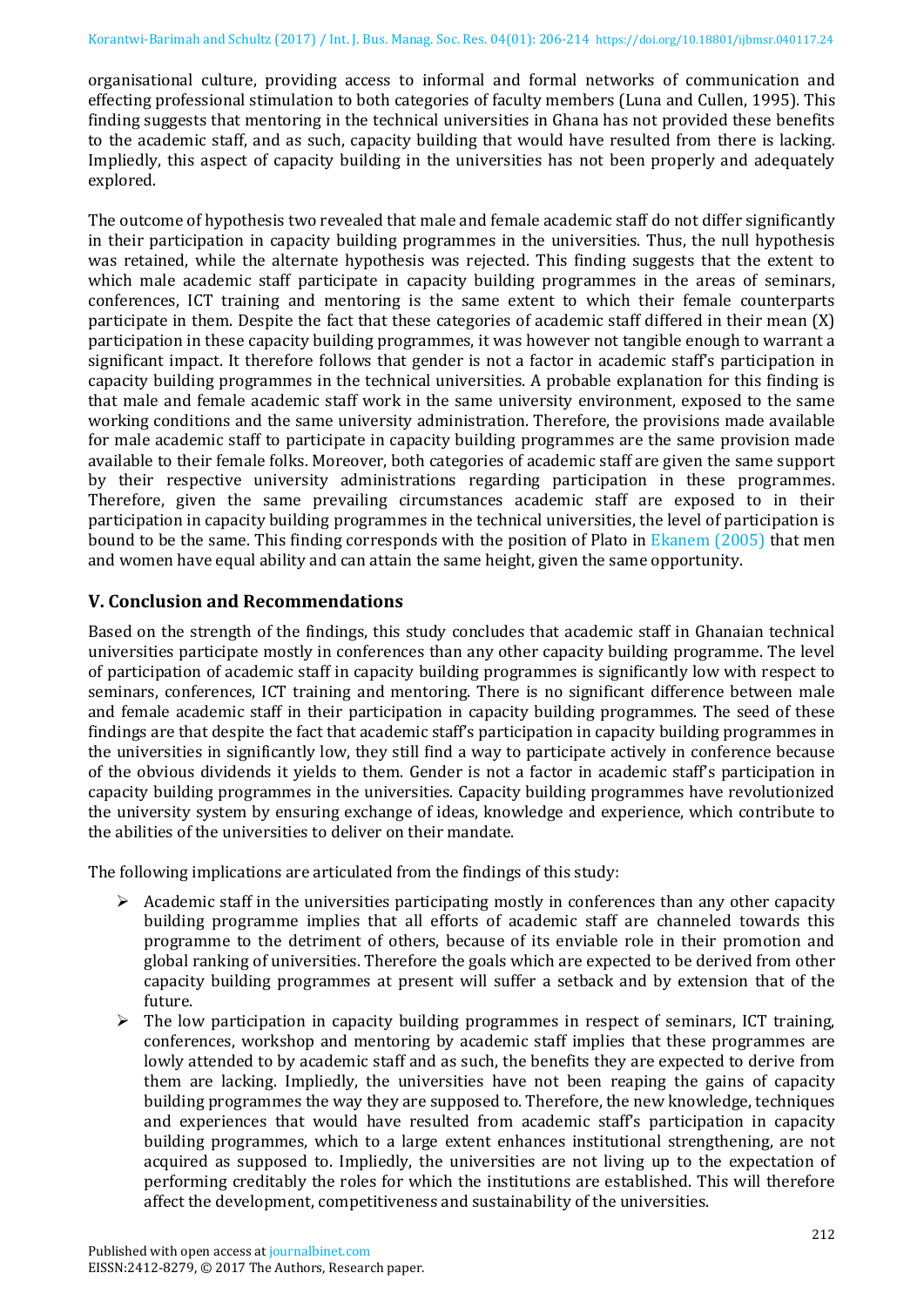organisational culture, providing access to informal and formal networks of communication and effecting professional stimulation to both categories of faculty members (Luna and Cullen, 1995). This finding suggests that mentoring in the technical universities in Ghana has not provided these benefits to the academic staff, and as such, capacity building that would have resulted from there is lacking. Impliedly, this aspect of capacity building in the universities has not been properly and adequately explored.

The outcome of hypothesis two revealed that male and female academic staff do not differ significantly in their participation in capacity building programmes in the universities. Thus, the null hypothesis was retained, while the alternate hypothesis was rejected. This finding suggests that the extent to which male academic staff participate in capacity building programmes in the areas of seminars, conferences, ICT training and mentoring is the same extent to which their female counterparts participate in them. Despite the fact that these categories of academic staff differed in their mean (X) participation in these capacity building programmes, it was however not tangible enough to warrant a significant impact. It therefore follows that gender is not a factor in academic staff's participation in capacity building programmes in the technical universities. A probable explanation for this finding is that male and female academic staff work in the same university environment, exposed to the same working conditions and the same university administration. Therefore, the provisions made available for male academic staff to participate in capacity building programmes are the same provision made available to their female folks. Moreover, both categories of academic staff are given the same support by their respective university administrations regarding participation in these programmes. Therefore, given the same prevailing circumstances academic staff are exposed to in their participation in capacity building programmes in the technical universities, the level of participation is bound to be the same. This finding corresponds with the position of Plato in Ekanem (2005) that men and women have equal ability and can attain the same height, given the same opportunity.

# **V. Conclusion and Recommendations**

Based on the strength of the findings, this study concludes that academic staff in Ghanaian technical universities participate mostly in conferences than any other capacity building programme. The level of participation of academic staff in capacity building programmes is significantly low with respect to seminars, conferences, ICT training and mentoring. There is no significant difference between male and female academic staff in their participation in capacity building programmes. The seed of these findings are that despite the fact that academic staff's participation in capacity building programmes in the universities in significantly low, they still find a way to participate actively in conference because of the obvious dividends it yields to them. Gender is not a factor in academic staff's participation in capacity building programmes in the universities. Capacity building programmes have revolutionized the university system by ensuring exchange of ideas, knowledge and experience, which contribute to the abilities of the universities to deliver on their mandate.

The following implications are articulated from the findings of this study:

- $\triangleright$  Academic staff in the universities participating mostly in conferences than any other capacity building programme implies that all efforts of academic staff are channeled towards this programme to the detriment of others, because of its enviable role in their promotion and global ranking of universities. Therefore the goals which are expected to be derived from other capacity building programmes at present will suffer a setback and by extension that of the future.
- $\triangleright$  The low participation in capacity building programmes in respect of seminars, ICT training, conferences, workshop and mentoring by academic staff implies that these programmes are lowly attended to by academic staff and as such, the benefits they are expected to derive from them are lacking. Impliedly, the universities have not been reaping the gains of capacity building programmes the way they are supposed to. Therefore, the new knowledge, techniques and experiences that would have resulted from academic staff's participation in capacity building programmes, which to a large extent enhances institutional strengthening, are not acquired as supposed to. Impliedly, the universities are not living up to the expectation of performing creditably the roles for which the institutions are established. This will therefore affect the development, competitiveness and sustainability of the universities.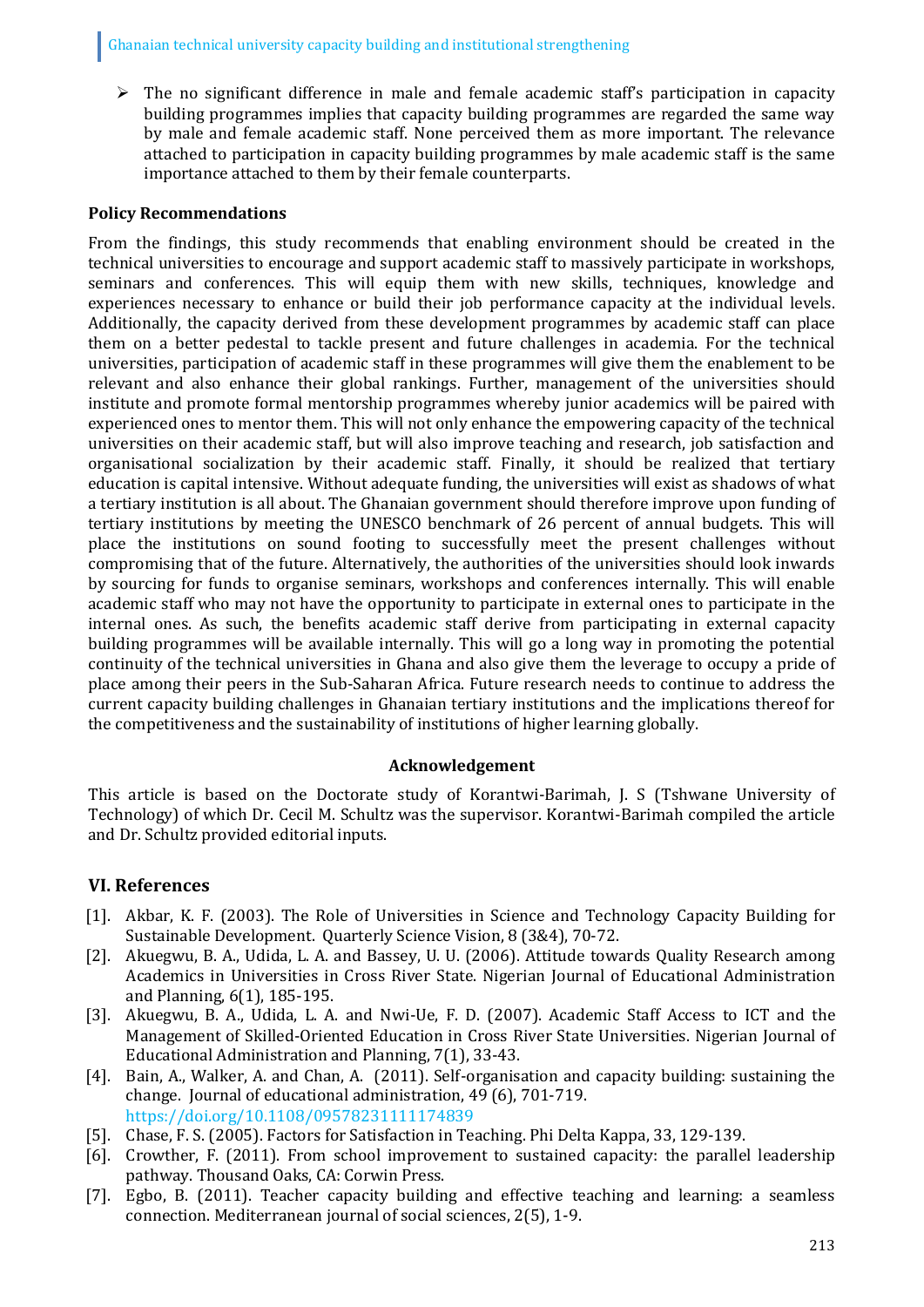$\triangleright$  The no significant difference in male and female academic staff's participation in capacity building programmes implies that capacity building programmes are regarded the same way by male and female academic staff. None perceived them as more important. The relevance attached to participation in capacity building programmes by male academic staff is the same importance attached to them by their female counterparts.

## **Policy Recommendations**

From the findings, this study recommends that enabling environment should be created in the technical universities to encourage and support academic staff to massively participate in workshops, seminars and conferences. This will equip them with new skills, techniques, knowledge and experiences necessary to enhance or build their job performance capacity at the individual levels. Additionally, the capacity derived from these development programmes by academic staff can place them on a better pedestal to tackle present and future challenges in academia. For the technical universities, participation of academic staff in these programmes will give them the enablement to be relevant and also enhance their global rankings. Further, management of the universities should institute and promote formal mentorship programmes whereby junior academics will be paired with experienced ones to mentor them. This will not only enhance the empowering capacity of the technical universities on their academic staff, but will also improve teaching and research, job satisfaction and organisational socialization by their academic staff. Finally, it should be realized that tertiary education is capital intensive. Without adequate funding, the universities will exist as shadows of what a tertiary institution is all about. The Ghanaian government should therefore improve upon funding of tertiary institutions by meeting the UNESCO benchmark of 26 percent of annual budgets. This will place the institutions on sound footing to successfully meet the present challenges without compromising that of the future. Alternatively, the authorities of the universities should look inwards by sourcing for funds to organise seminars, workshops and conferences internally. This will enable academic staff who may not have the opportunity to participate in external ones to participate in the internal ones. As such, the benefits academic staff derive from participating in external capacity building programmes will be available internally. This will go a long way in promoting the potential continuity of the technical universities in Ghana and also give them the leverage to occupy a pride of place among their peers in the Sub-Saharan Africa. Future research needs to continue to address the current capacity building challenges in Ghanaian tertiary institutions and the implications thereof for the competitiveness and the sustainability of institutions of higher learning globally.

## **Acknowledgement**

This article is based on the Doctorate study of Korantwi-Barimah, J. S (Tshwane University of Technology) of which Dr. Cecil M. Schultz was the supervisor. Korantwi-Barimah compiled the article and Dr. Schultz provided editorial inputs.

# **VI. References**

- [1]. Akbar, K. F. (2003). The Role of Universities in Science and Technology Capacity Building for Sustainable Development. Quarterly Science Vision, 8 (3&4), 70-72.
- [2]. Akuegwu, B. A., Udida, L. A. and Bassey, U. U. (2006). Attitude towards Quality Research among Academics in Universities in Cross River State. Nigerian Journal of Educational Administration and Planning, 6(1), 185-195.
- [3]. Akuegwu, B. A., Udida, L. A. and Nwi-Ue, F. D. (2007). Academic Staff Access to ICT and the Management of Skilled-Oriented Education in Cross River State Universities. Nigerian Journal of Educational Administration and Planning, 7(1), 33-43.
- [4]. Bain, A., Walker, A. and Chan, A. (2011). Self-organisation and capacity building: sustaining the change. Journal of educational administration, 49 (6), 701-719. https://doi.org/10.1108/09578231111174839
- [5]. Chase, F. S. (2005). Factors for Satisfaction in Teaching. Phi Delta Kappa, 33, 129-139.
- [6]. Crowther, F. (2011). From school improvement to sustained capacity: the parallel leadership pathway. Thousand Oaks, CA: Corwin Press.
- [7]. Egbo, B. (2011). Teacher capacity building and effective teaching and learning: a seamless connection. Mediterranean journal of social sciences, 2(5), 1-9.